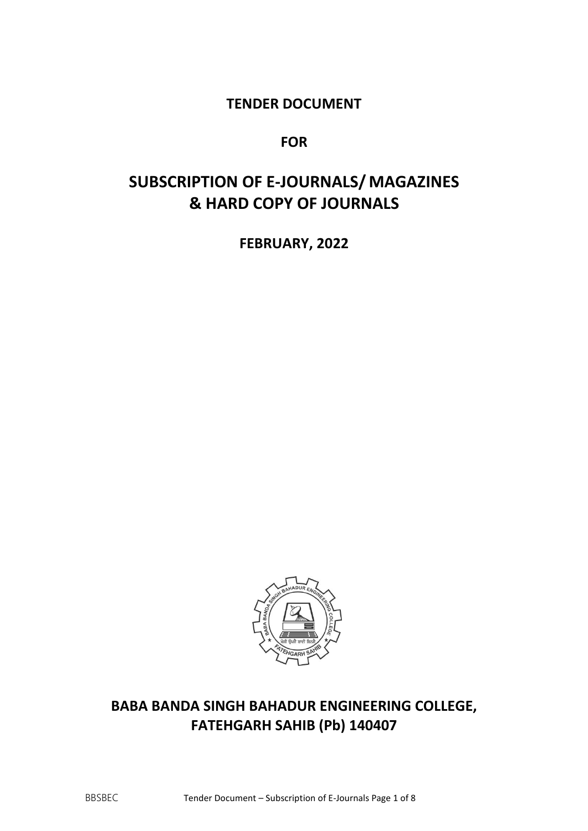### **TENDER DOCUMENT**

### **FOR**

# **SUBSCRIPTION OF E-JOURNALS/ MAGAZINES & HARD COPY OF JOURNALS**

**FEBRUARY, 2022**



## **BABA BANDA SINGH BAHADUR ENGINEERING COLLEGE, FATEHGARH SAHIB (Pb) 140407**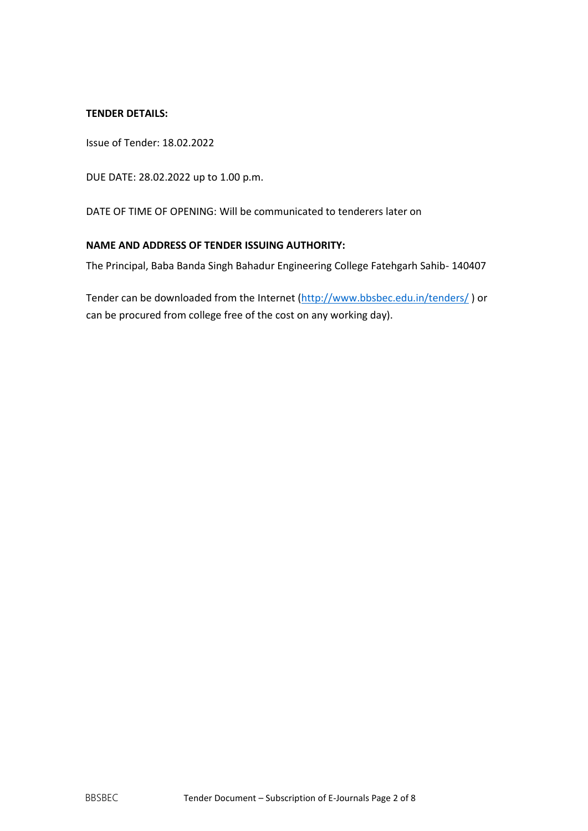#### **TENDER DETAILS:**

Issue of Tender: 18.02.2022

DUE DATE: 28.02.2022 up to 1.00 p.m.

DATE OF TIME OF OPENING: Will be communicated to tenderers later on

### **NAME AND ADDRESS OF TENDER ISSUING AUTHORITY:**

The Principal, Baba Banda Singh Bahadur Engineering College Fatehgarh Sahib- 140407

Tender can be downloaded from the Internet [\(http://www.bbsbec.edu.in/tenders/](http://www.bbsbec.edu.in/tenders/) ) or can be procured from college free of the cost on any working day).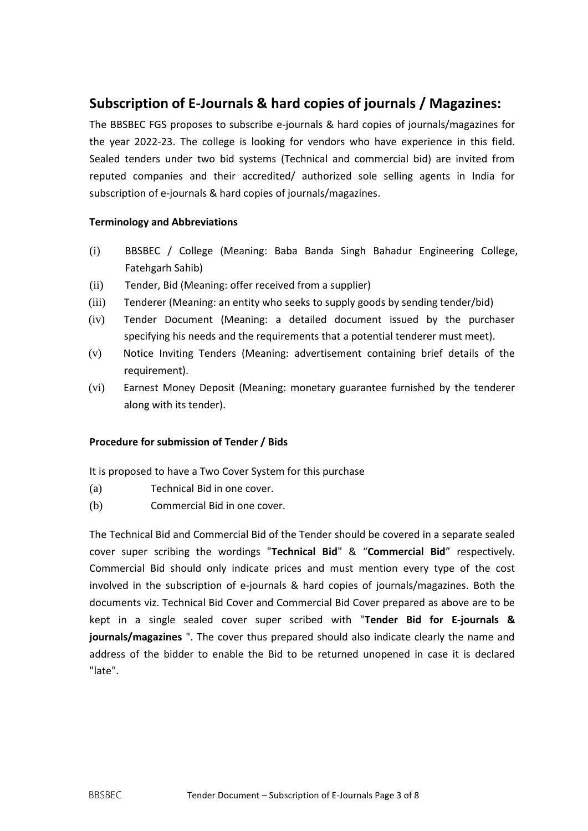### **Subscription of E-Journals & hard copies of journals / Magazines:**

The BBSBEC FGS proposes to subscribe e-journals & hard copies of journals/magazines for the year 2022-23. The college is looking for vendors who have experience in this field. Sealed tenders under two bid systems (Technical and commercial bid) are invited from reputed companies and their accredited/ authorized sole selling agents in India for subscription of e-journals & hard copies of journals/magazines.

### **Terminology and Abbreviations**

- (i) BBSBEC / College (Meaning: Baba Banda Singh Bahadur Engineering College, Fatehgarh Sahib)
- (ii) Tender, Bid (Meaning: offer received from a supplier)
- (iii) Tenderer (Meaning: an entity who seeks to supply goods by sending tender/bid)
- (iv) Tender Document (Meaning: a detailed document issued by the purchaser specifying his needs and the requirements that a potential tenderer must meet).
- (v) Notice Inviting Tenders (Meaning: advertisement containing brief details of the requirement).
- (vi) Earnest Money Deposit (Meaning: monetary guarantee furnished by the tenderer along with its tender).

#### **Procedure for submission of Tender / Bids**

It is proposed to have a Two Cover System for this purchase

- (a) Technical Bid in one cover.
- (b) Commercial Bid in one cover.

The Technical Bid and Commercial Bid of the Tender should be covered in a separate sealed cover super scribing the wordings "**Technical Bid**" & "**Commercial Bid**" respectively. Commercial Bid should only indicate prices and must mention every type of the cost involved in the subscription of e-journals & hard copies of journals/magazines. Both the documents viz. Technical Bid Cover and Commercial Bid Cover prepared as above are to be kept in a single sealed cover super scribed with "**Tender Bid for E-journals & journals/magazines** ". The cover thus prepared should also indicate clearly the name and address of the bidder to enable the Bid to be returned unopened in case it is declared "late".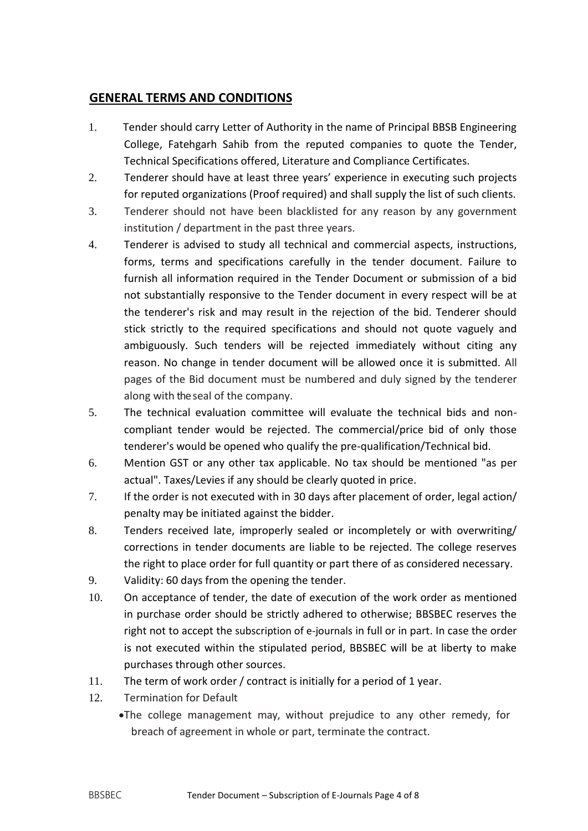### **GENERAL TERMS AND CONDITIONS**

- 1. Tender should carry Letter of Authority in the name of Principal BBSB Engineering College, Fatehgarh Sahib from the reputed companies to quote the Tender, Technical Specifications offered, Literature and Compliance Certificates.
- 2. Tenderer should have at least three years' experience in executing such projects for reputed organizations (Proof required) and shall supply the list of such clients.
- 3. Tenderer should not have been blacklisted for any reason by any government institution / department in the past three years.
- 4. Tenderer is advised to study all technical and commercial aspects, instructions, forms, terms and specifications carefully in the tender document. Failure to furnish all information required in the Tender Document or submission of a bid not substantially responsive to the Tender document in every respect will be at the tenderer's risk and may result in the rejection of the bid. Tenderer should stick strictly to the required specifications and should not quote vaguely and ambiguously. Such tenders will be rejected immediately without citing any reason. No change in tender document will be allowed once it is submitted. All pages of the Bid document must be numbered and duly signed by the tenderer along with theseal of the company.
- 5. The technical evaluation committee will evaluate the technical bids and noncompliant tender would be rejected. The commercial/price bid of only those tenderer's would be opened who qualify the pre-qualification/Technical bid.
- 6. Mention GST or any other tax applicable. No tax should be mentioned "as per actual". Taxes/Levies if any should be clearly quoted in price.
- 7. If the order is not executed with in 30 days after placement of order, legal action/ penalty may be initiated against the bidder.
- 8. Tenders received late, improperly sealed or incompletely or with overwriting/ corrections in tender documents are liable to be rejected. The college reserves the right to place order for full quantity or part there of as considered necessary.
- 9. Validity: 60 days from the opening the tender.
- 10. On acceptance of tender, the date of execution of the work order as mentioned in purchase order should be strictly adhered to otherwise; BBSBEC reserves the right not to accept the subscription of e-journals in full or in part. In case the order is not executed within the stipulated period, BBSBEC will be at liberty to make purchases through other sources.
- 11. The term of work order / contract is initially for a period of 1 year.
- 12. Termination for Default
	- The college management may, without prejudice to any other remedy, for breach of agreement in whole or part, terminate the contract.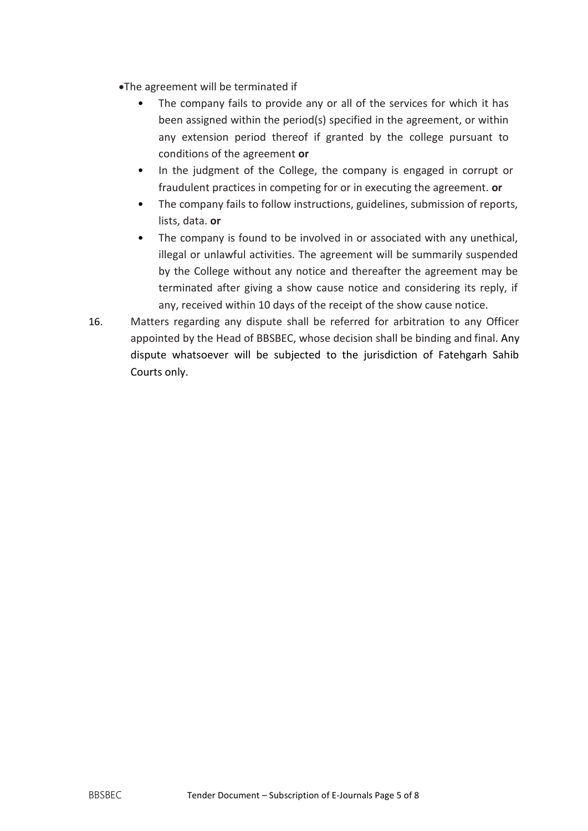- The agreement will be terminated if
	- The company fails to provide any or all of the services for which it has been assigned within the period(s) specified in the agreement, or within any extension period thereof if granted by the college pursuant to conditions of the agreement **or**
	- In the judgment of the College, the company is engaged in corrupt or fraudulent practices in competing for or in executing the agreement. **or**
	- The company fails to follow instructions, guidelines, submission of reports, lists, data. **or**
	- The company is found to be involved in or associated with any unethical, illegal or unlawful activities. The agreement will be summarily suspended by the College without any notice and thereafter the agreement may be terminated after giving a show cause notice and considering its reply, if any, received within 10 days of the receipt of the show cause notice.
- 16. Matters regarding any dispute shall be referred for arbitration to any Officer appointed by the Head of BBSBEC, whose decision shall be binding and final. Any dispute whatsoever will be subjected to the jurisdiction of Fatehgarh Sahib Courts only.